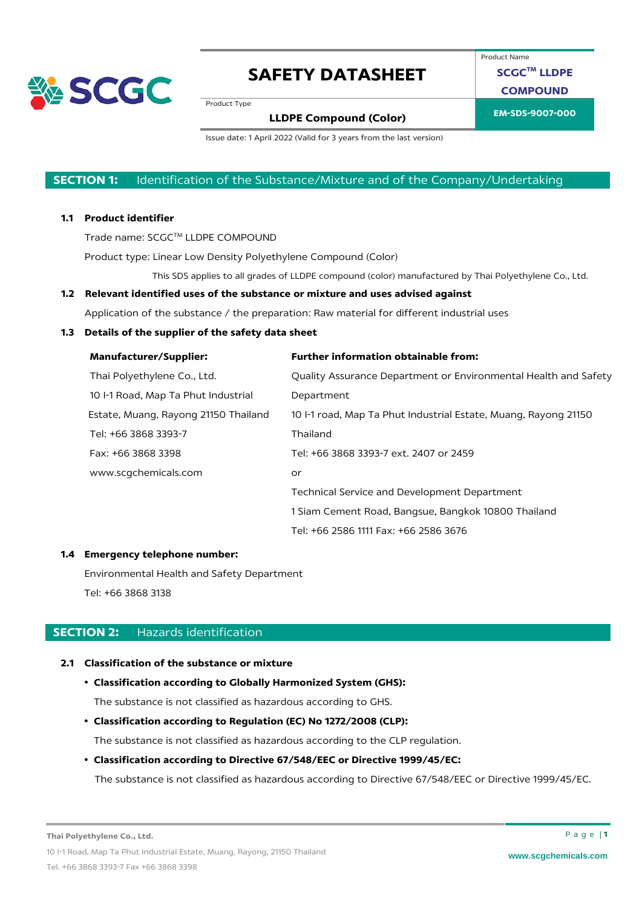

Product Name

**SCGCTM LLDPE COMPOUND**

Product Type

### **EM-SDS-9007-000 LLDPE Compound (Color)**

Issue date: 1 April 2022 (Valid for 3 years from the last version)

### **SECTION 1:** Identification of the Substance/Mixture and of the Company/Undertaking

#### **1.1 Product identifier**

Trade name: SCGC™ LLDPE COMPOUND

Product type: Linear Low Density Polyethylene Compound (Color)

This SDS applies to all grades of LLDPE compound (color) manufactured by Thai Polyethylene Co., Ltd.

### **1.2 Relevant identified uses of the substance or mixture and uses advised against**

Application of the substance / the preparation: Raw material for different industrial uses

#### **1.3 Details of the supplier of the safety data sheet**

| <b>Manufacturer/Supplier:</b>        | <b>Further information obtainable from:</b>                     |
|--------------------------------------|-----------------------------------------------------------------|
| Thai Polyethylene Co., Ltd.          | Quality Assurance Department or Environmental Health and Safety |
| 10 I-1 Road, Map Ta Phut Industrial  | Department                                                      |
| Estate, Muang, Rayong 21150 Thailand | 10 -1 road, Map Ta Phut Industrial Estate, Muang, Rayong 21150  |
| Tel: +66 3868 3393-7                 | Thailand                                                        |
| Fax: +66 3868 3398                   | Tel: +66 3868 3393-7 ext. 2407 or 2459                          |
| www.scqchemicals.com                 | or                                                              |
|                                      | Technical Service and Development Department                    |
|                                      | 1 Siam Cement Road, Bangsue, Bangkok 10800 Thailand             |
|                                      | Tel: +66 2586 1111 Fax: +66 2586 3676                           |

#### **1.4 Emergency telephone number:**

Environmental Health and Safety Department Tel: +66 3868 3138

#### **SECTION 2:** Hazards identification

#### **2.1 Classification of the substance or mixture**

#### • **Classification according to Globally Harmonized System (GHS):**

The substance is not classified as hazardous according to GHS.

• **Classification according to Regulation (EC) No 1272/2008 (CLP):**

The substance is not classified as hazardous according to the CLP regulation.

### • **Classification according to Directive 67/548/EEC or Directive 1999/45/EC:**

The substance is not classified as hazardous according to Directive 67/548/EEC or Directive 1999/45/EC.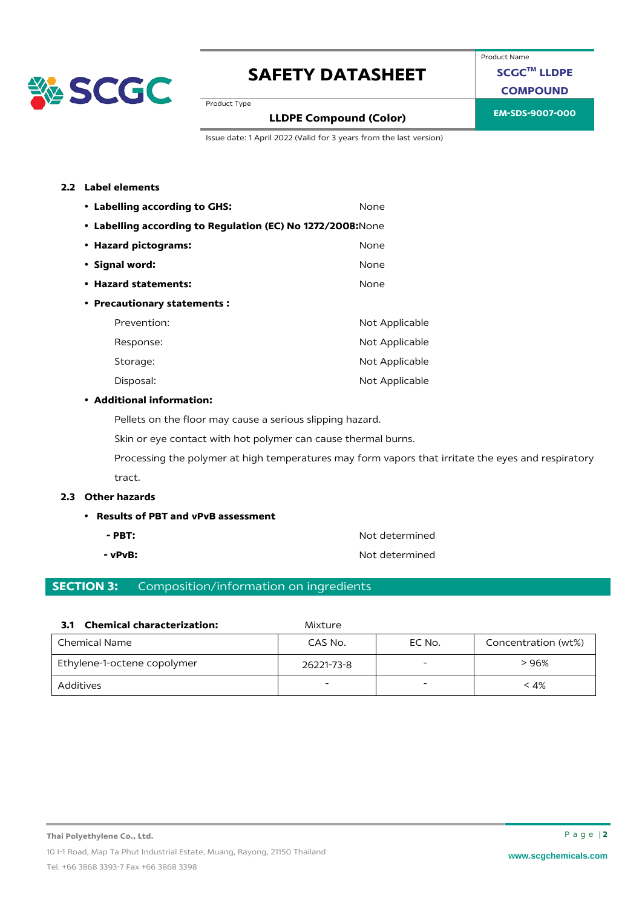

Product Name

**SCGCTM LLDPE**

**COMPOUND**

Product Type

### **EM-SDS-9007-000 LLDPE Compound (Color)**

Issue date: 1 April 2022 (Valid for 3 years from the last version)

#### **2.2 Label elements**

| • Labelling according to GHS:                               | None           |
|-------------------------------------------------------------|----------------|
| • Labelling according to Regulation (EC) No 1272/2008: None |                |
| • Hazard pictograms:                                        | None           |
| • Signal word:                                              | None           |
| • Hazard statements:                                        | None           |
| • Precautionary statements:                                 |                |
| Prevention:                                                 | Not Applicable |
| Response:                                                   | Not Applicable |
| Storage:                                                    | Not Applicable |
| Disposal:                                                   | Not Applicable |

#### • **Additional information:**

Pellets on the floor may cause a serious slipping hazard.

Skin or eye contact with hot polymer can cause thermal burns.

Processing the polymer at high temperatures may form vapors that irritate the eyes and respiratory tract.

#### **2.3 Other hazards**

#### • **Results of PBT and vPvB assessment**

- 
- 

**- PBT:** Not determined **- vPvB:**  $\bullet$  **Not determined** 

### **SECTION 3:** Composition/information on ingredients

|  | 3.1 Chemical characterization: |  |
|--|--------------------------------|--|
|--|--------------------------------|--|

| <b>Chemical Name</b>        | CAS No.    | EC No. | Concentration (wt%) |
|-----------------------------|------------|--------|---------------------|
| Ethylene-1-octene copolymer | 26221-73-8 |        | > 96%               |
| Additives                   |            |        | < 4%                |

**3.1 Chemical characterization:** Mixture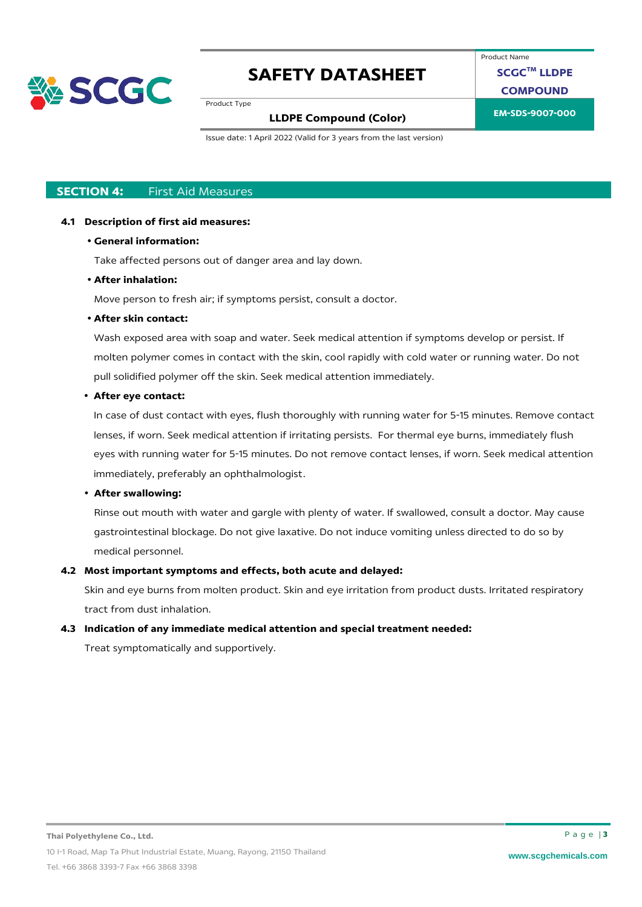

Product Name

**SCGCTM LLDPE**

**COMPOUND**

Product Type

# **EM-SDS-9007-000 LLDPE Compound (Color)**

Issue date: 1 April 2022 (Valid for 3 years from the last version)

### **SECTION 4:** First Aid Measures

### **4.1 Description of first aid measures:**

### • **General information:**

Take affected persons out of danger area and lay down.

### • **After inhalation:**

Move person to fresh air; if symptoms persist, consult a doctor.

### • **After skin contact:**

Wash exposed area with soap and water. Seek medical attention if symptoms develop or persist. If molten polymer comes in contact with the skin, cool rapidly with cold water or running water. Do not pull solidified polymer off the skin. Seek medical attention immediately.

### • **After eye contact:**

In case of dust contact with eyes, flush thoroughly with running water for 5-15 minutes. Remove contact lenses, if worn. Seek medical attention if irritating persists. For thermal eye burns, immediately flush eyes with running water for 5-15 minutes. Do not remove contact lenses, if worn. Seek medical attention immediately, preferably an ophthalmologist.

### • **After swallowing:**

Rinse out mouth with water and gargle with plenty of water. If swallowed, consult a doctor. May cause gastrointestinal blockage. Do not give laxative. Do not induce vomiting unless directed to do so by medical personnel.

### **4.2 Most important symptoms and effects, both acute and delayed:**

Skin and eye burns from molten product. Skin and eye irritation from product dusts. Irritated respiratory tract from dust inhalation.

### **4.3 Indication of any immediate medical attention and special treatment needed:**

Treat symptomatically and supportively.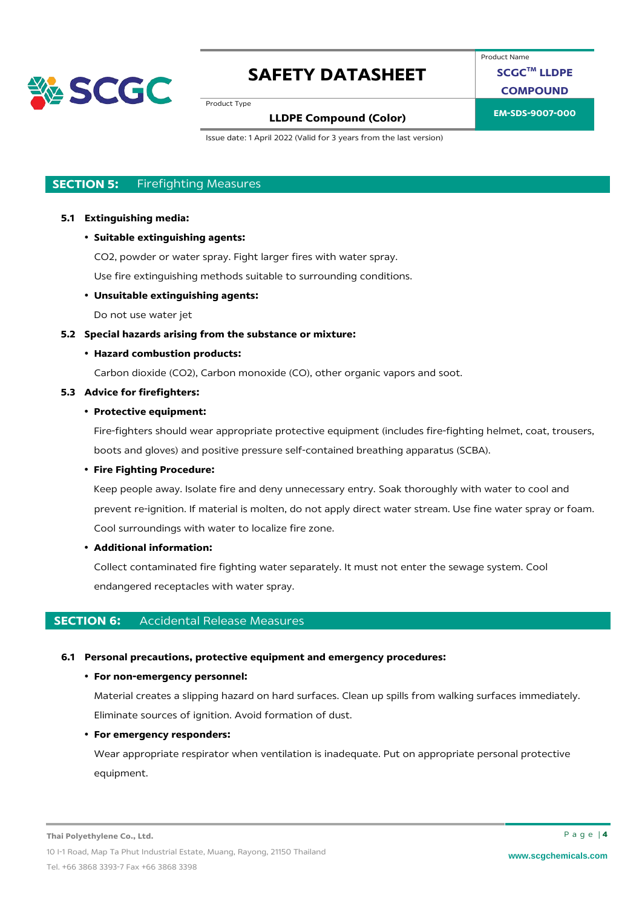

Product Name

**SCGCTM LLDPE**

**COMPOUND**

Product Type

### **EM-SDS-9007-000 LLDPE Compound (Color)**

Issue date: 1 April 2022 (Valid for 3 years from the last version)

### **SECTION 5:** Firefighting Measures

#### **5.1 Extinguishing media:**

• **Suitable extinguishing agents:**

CO2, powder or water spray. Fight larger fires with water spray.

Use fire extinguishing methods suitable to surrounding conditions.

#### • **Unsuitable extinguishing agents:**

Do not use water jet

#### **5.2 Special hazards arising from the substance or mixture:**

#### • **Hazard combustion products:**

Carbon dioxide (CO2), Carbon monoxide (CO), other organic vapors and soot.

#### **5.3 Advice for firefighters:**

### • **Protective equipment:**

Fire-fighters should wear appropriate protective equipment (includes fire-fighting helmet, coat, trousers, boots and gloves) and positive pressure self-contained breathing apparatus (SCBA).

#### • **Fire Fighting Procedure:**

Keep people away. Isolate fire and deny unnecessary entry. Soak thoroughly with water to cool and prevent re-ignition. If material is molten, do not apply direct water stream. Use fine water spray or foam. Cool surroundings with water to localize fire zone.

#### • **Additional information:**

Collect contaminated fire fighting water separately. It must not enter the sewage system. Cool endangered receptacles with water spray.

#### **SECTION 6:** Accidental Release Measures

#### **6.1 Personal precautions, protective equipment and emergency procedures:**

#### • **For non-emergency personnel:**

Material creates a slipping hazard on hard surfaces. Clean up spills from walking surfaces immediately. Eliminate sources of ignition. Avoid formation of dust.

#### • **For emergency responders:**

Wear appropriate respirator when ventilation is inadequate. Put on appropriate personal protective equipment.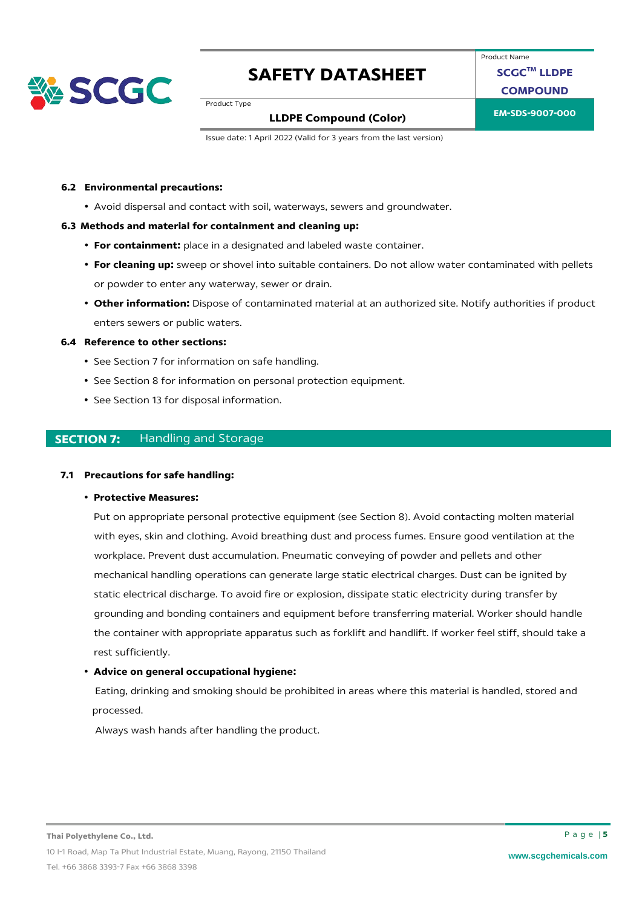

Product Name **SCGCTM LLDPE**

**COMPOUND**

Product Type

### **EM-SDS-9007-000 LLDPE Compound (Color)**

Issue date: 1 April 2022 (Valid for 3 years from the last version)

#### **6.2 Environmental precautions:**

• Avoid dispersal and contact with soil, waterways, sewers and groundwater.

#### **6.3 Methods and material for containment and cleaning up:**

- **For containment:** place in a designated and labeled waste container.
- **For cleaning up:** sweep or shovel into suitable containers. Do not allow water contaminated with pellets or powder to enter any waterway, sewer or drain.
- **Other information:** Dispose of contaminated material at an authorized site. Notify authorities if product enters sewers or public waters.

#### **6.4 Reference to other sections:**

- See Section 7 for information on safe handling.
- See Section 8 for information on personal protection equipment.
- See Section 13 for disposal information.

#### **SECTION 7:** Handling and Storage

#### **7.1 Precautions for safe handling:**

• **Protective Measures:** 

Put on appropriate personal protective equipment (see Section 8). Avoid contacting molten material with eyes, skin and clothing. Avoid breathing dust and process fumes. Ensure good ventilation at the workplace. Prevent dust accumulation. Pneumatic conveying of powder and pellets and other mechanical handling operations can generate large static electrical charges. Dust can be ignited by static electrical discharge. To avoid fire or explosion, dissipate static electricity during transfer by grounding and bonding containers and equipment before transferring material. Worker should handle the container with appropriate apparatus such as forklift and handlift. If worker feel stiff, should take a rest sufficiently.

#### • **Advice on general occupational hygiene:**

Eating, drinking and smoking should be prohibited in areas where this material is handled, stored and processed.

Always wash hands after handling the product.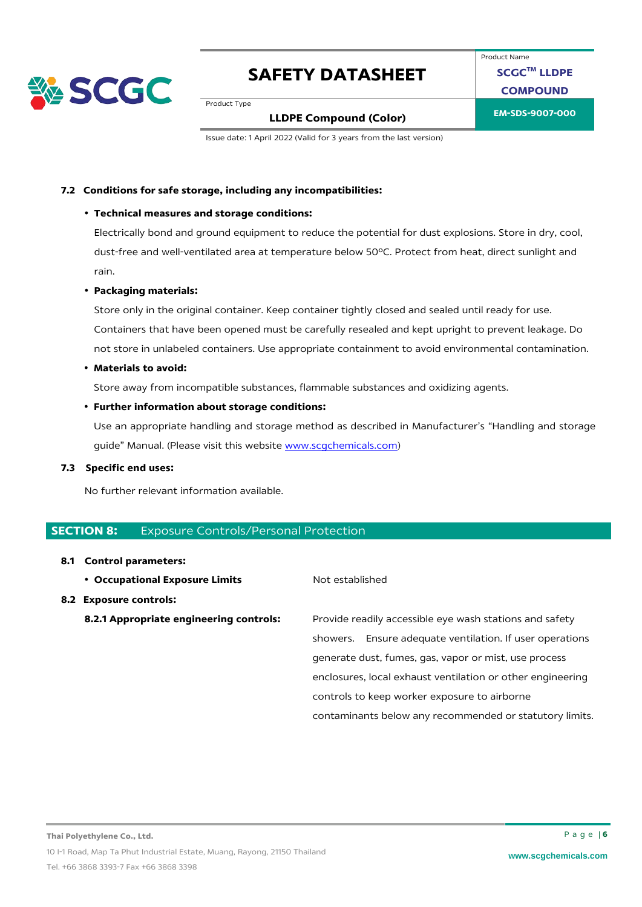

### Product Name **SCGCTM LLDPE COMPOUND**

Product Type

### **EM-SDS-9007-000 LLDPE Compound (Color)**

Issue date: 1 April 2022 (Valid for 3 years from the last version)

#### **7.2 Conditions for safe storage, including any incompatibilities:**

#### • **Technical measures and storage conditions:**

Electrically bond and ground equipment to reduce the potential for dust explosions. Store in dry, cool, dust-free and well-ventilated area at temperature below 50ºC. Protect from heat, direct sunlight and rain.

#### • **Packaging materials:**

Store only in the original container. Keep container tightly closed and sealed until ready for use. Containers that have been opened must be carefully resealed and kept upright to prevent leakage. Do not store in unlabeled containers. Use appropriate containment to avoid environmental contamination.

#### • **Materials to avoid:**

Store away from incompatible substances, flammable substances and oxidizing agents.

#### • **Further information about storage conditions:**

Use an appropriate handling and storage method as described in Manufacturer's "Handling and storage guide" Manual. (Please visit this website [www.scgchemicals.com\)](http://www.scgchemicals.com/)

#### **7.3 Specific end uses:**

No further relevant information available.

#### **SECTION 8: Exposure Controls/Personal Protection**

#### **8.1 Control parameters:**

**• Occupational Exposure Limits** Not established

#### **8.2 Exposure controls:**

**8.2.1 Appropriate engineering controls:** Provide readily accessible eye wash stations and safety showers. Ensure adequate ventilation. If user operations generate dust, fumes, gas, vapor or mist, use process enclosures, local exhaust ventilation or other engineering controls to keep worker exposure to airborne contaminants below any recommended or statutory limits.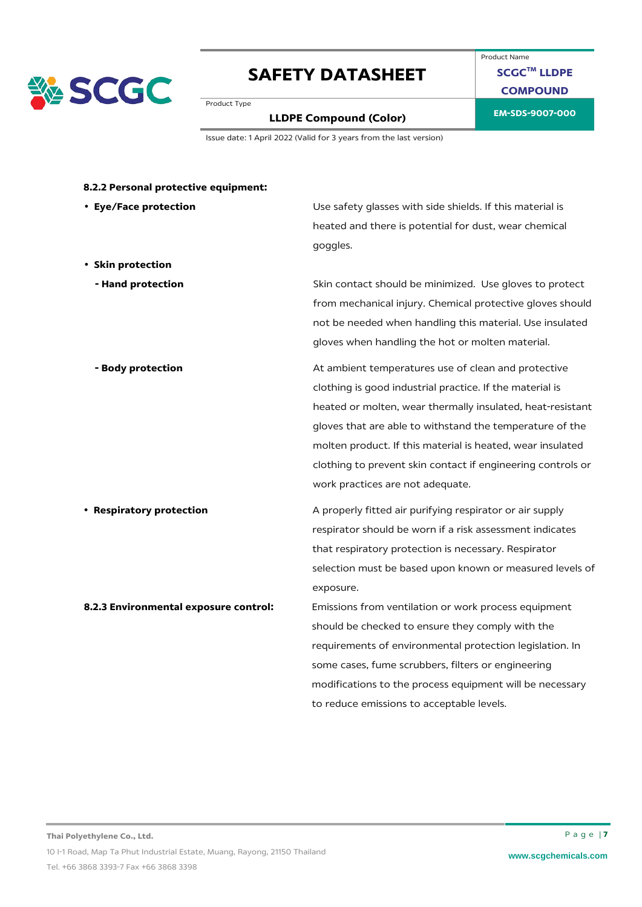

### Product Name **SCGCTM LLDPE COMPOUND**

Product Type

# **EM-SDS-9007-000 LLDPE Compound (Color)**

Issue date: 1 April 2022 (Valid for 3 years from the last version)

| • Eye/Face protection                 | Use safety glasses with side shields. If this material is   |
|---------------------------------------|-------------------------------------------------------------|
|                                       | heated and there is potential for dust, wear chemical       |
|                                       | goggles.                                                    |
| • Skin protection                     |                                                             |
| - Hand protection                     | Skin contact should be minimized. Use gloves to protect     |
|                                       | from mechanical injury. Chemical protective gloves should   |
|                                       | not be needed when handling this material. Use insulated    |
|                                       | gloves when handling the hot or molten material.            |
| - Body protection                     | At ambient temperatures use of clean and protective         |
|                                       | clothing is good industrial practice. If the material is    |
|                                       | heated or molten, wear thermally insulated, heat-resistant  |
|                                       | gloves that are able to withstand the temperature of the    |
|                                       | molten product. If this material is heated, wear insulated  |
|                                       | clothing to prevent skin contact if engineering controls or |
|                                       | work practices are not adequate.                            |
| • Respiratory protection              | A properly fitted air purifying respirator or air supply    |
|                                       | respirator should be worn if a risk assessment indicates    |
|                                       | that respiratory protection is necessary. Respirator        |
|                                       | selection must be based upon known or measured levels of    |
|                                       | exposure.                                                   |
| 8.2.3 Environmental exposure control: | Emissions from ventilation or work process equipment        |
|                                       | should be checked to ensure they comply with the            |
|                                       | requirements of environmental protection legislation. In    |
|                                       | some cases, fume scrubbers, filters or engineering          |
|                                       | modifications to the process equipment will be necessary    |
|                                       | to reduce emissions to acceptable levels.                   |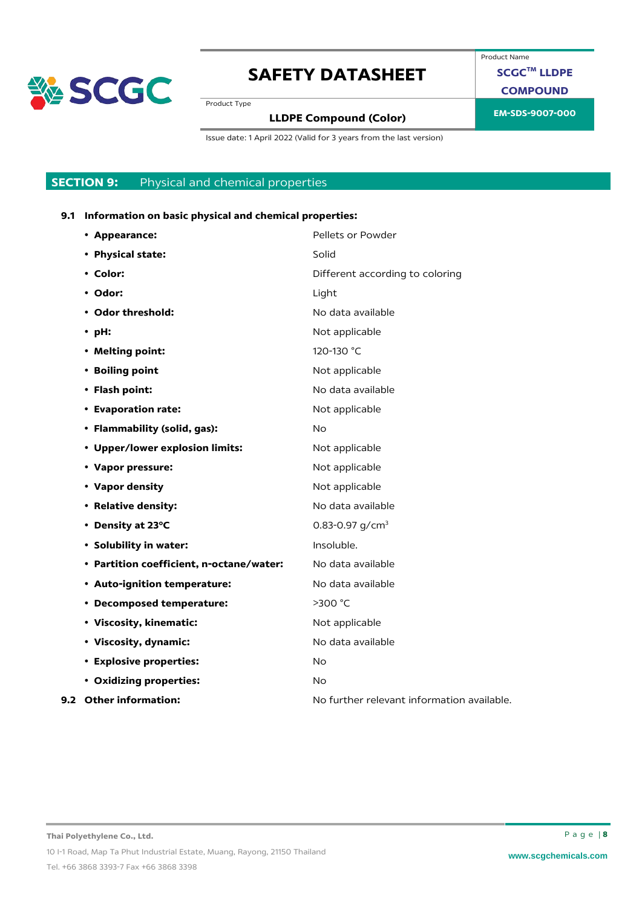

Product Name

**SCGCTM LLDPE**

**COMPOUND**

Product Type

# **EM-SDS-9007-000 LLDPE Compound (Color)**

Issue date: 1 April 2022 (Valid for 3 years from the last version)

### **SECTION 9:** Physical and chemical properties

#### **9.1 Information on basic physical and chemical properties:**

| • Appearance:                            | Pellets or Powder                          |
|------------------------------------------|--------------------------------------------|
| • Physical state:                        | Solid                                      |
| • Color:                                 | Different according to coloring            |
| • Odor:                                  | Light                                      |
| • Odor threshold:                        | No data available                          |
| $\cdot$ pH:                              | Not applicable                             |
| • Melting point:                         | 120-130 °C                                 |
| • Boiling point                          | Not applicable                             |
| • Flash point:                           | No data available                          |
| • Evaporation rate:                      | Not applicable                             |
| • Flammability (solid, gas):             | No.                                        |
| • Upper/lower explosion limits:          | Not applicable                             |
| • Vapor pressure:                        | Not applicable                             |
| • Vapor density                          | Not applicable                             |
| • Relative density:                      | No data available                          |
| • Density at 23°C                        | 0.83-0.97 $g/cm3$                          |
| • Solubility in water:                   | Insoluble.                                 |
| • Partition coefficient, n-octane/water: | No data available                          |
| • Auto-ignition temperature:             | No data available                          |
| • Decomposed temperature:                | >300 °C                                    |
| • Viscosity, kinematic:                  | Not applicable                             |
| • Viscosity, dynamic:                    | No data available                          |
| <b>• Explosive properties:</b>           | <b>No</b>                                  |
| • Oxidizing properties:                  | <b>No</b>                                  |
| 9.2 Other information:                   | No further relevant information available. |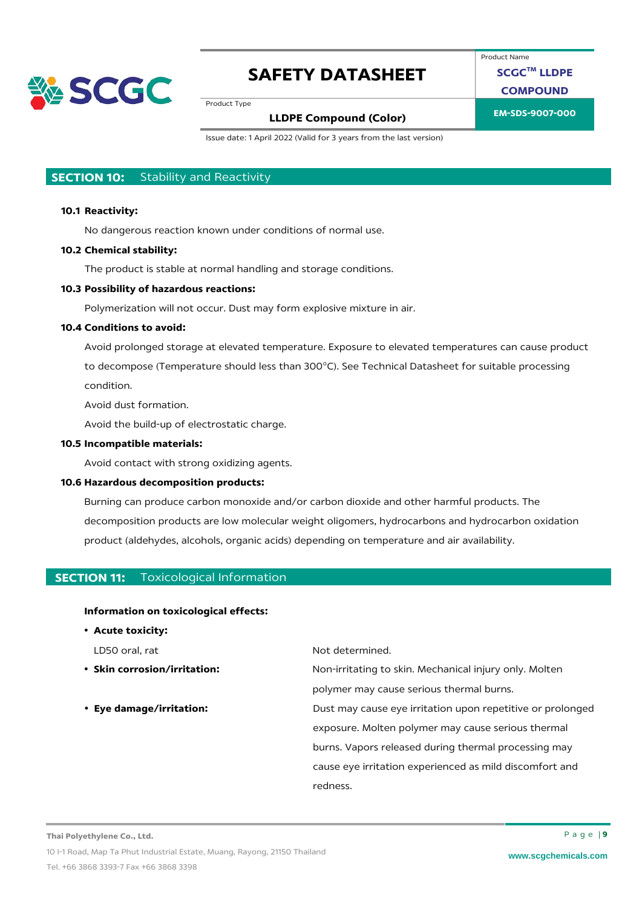

Product Name

**SCGCTM LLDPE**

**COMPOUND**

Product Type

### **EM-SDS-9007-000 LLDPE Compound (Color)**

Issue date: 1 April 2022 (Valid for 3 years from the last version)

### **SECTION 10:** Stability and Reactivity

#### **10.1 Reactivity:**

No dangerous reaction known under conditions of normal use.

#### **10.2 Chemical stability:**

The product is stable at normal handling and storage conditions.

#### **10.3 Possibility of hazardous reactions:**

Polymerization will not occur. Dust may form explosive mixture in air.

#### **10.4 Conditions to avoid:**

Avoid prolonged storage at elevated temperature. Exposure to elevated temperatures can cause product to decompose (Temperature should less than 300°C). See Technical Datasheet for suitable processing condition.

Avoid dust formation.

Avoid the build-up of electrostatic charge.

#### **10.5 Incompatible materials:**

Avoid contact with strong oxidizing agents.

#### **10.6 Hazardous decomposition products:**

Burning can produce carbon monoxide and/or carbon dioxide and other harmful products. The decomposition products are low molecular weight oligomers, hydrocarbons and hydrocarbon oxidation product (aldehydes, alcohols, organic acids) depending on temperature and air availability.

#### **SECTION 11:** Toxicological Information

#### **Information on toxicological effects:**

• **Acute toxicity:**

- 
- 

LD50 oral, rat Not determined.

• **Skin corrosion/irritation:** Non-irritating to skin. Mechanical injury only. Molten polymer may cause serious thermal burns.

• **Eye damage/irritation:** Dust may cause eye irritation upon repetitive or prolonged exposure. Molten polymer may cause serious thermal burns. Vapors released during thermal processing may cause eye irritation experienced as mild discomfort and redness.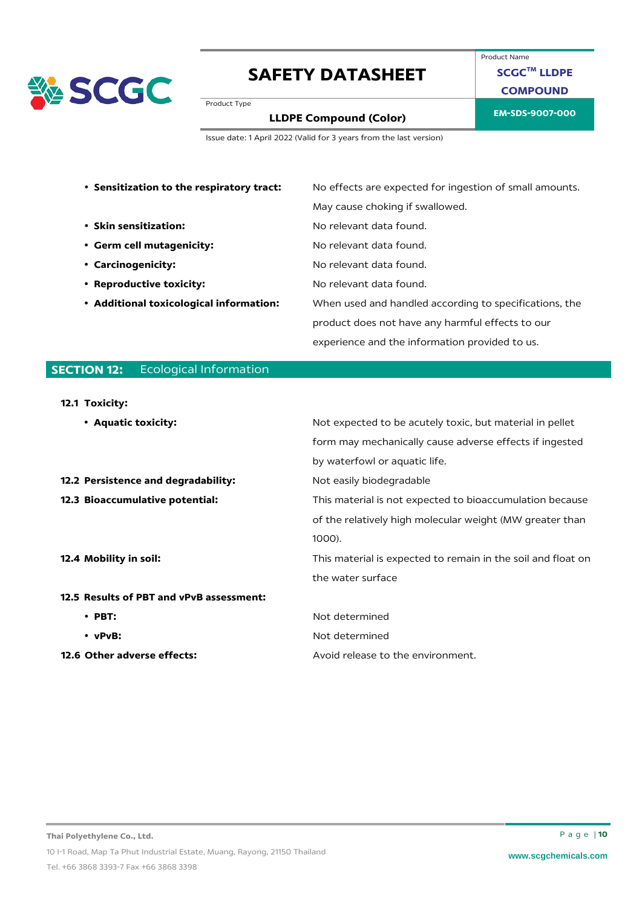

Product Name **SCGCTM LLDPE COMPOUND**

Product Type

# **EM-SDS-9007-000 LLDPE Compound (Color)**

Issue date: 1 April 2022 (Valid for 3 years from the last version)

| • Sensitization to the respiratory tract: | No effects are expected for ingestion of small amounts. |  |
|-------------------------------------------|---------------------------------------------------------|--|
|                                           | May cause choking if swallowed.                         |  |
| • Skin sensitization:                     | No relevant data found.                                 |  |
| • Germ cell mutagenicity:                 | No relevant data found.                                 |  |
| • Carcinogenicity:                        | No relevant data found.                                 |  |
| • Reproductive toxicity:                  | No relevant data found.                                 |  |
| • Additional toxicological information:   | When used and handled according to specifications, the  |  |
|                                           | product does not have any harmful effects to our        |  |
|                                           | experience and the information provided to us.          |  |

### **SECTION 12:** Ecological Information

#### **12.1 Toxicity:**

| • Aquatic toxicity:                      |                                                              |
|------------------------------------------|--------------------------------------------------------------|
|                                          | Not expected to be acutely toxic, but material in pellet     |
|                                          | form may mechanically cause adverse effects if ingested      |
|                                          | by waterfowl or aquatic life.                                |
| 12.2 Persistence and degradability:      | Not easily biodegradable                                     |
| 12.3 Bioaccumulative potential:          | This material is not expected to bioaccumulation because     |
|                                          | of the relatively high molecular weight (MW greater than     |
|                                          | 1000).                                                       |
| 12.4 Mobility in soil:                   | This material is expected to remain in the soil and float on |
|                                          | the water surface                                            |
| 12.5 Results of PBT and vPvB assessment: |                                                              |
| $\cdot$ PBT:                             | Not determined                                               |
| $\cdot$ vPvB:                            | Not determined                                               |
| 12.6 Other adverse effects:              | Avoid release to the environment.                            |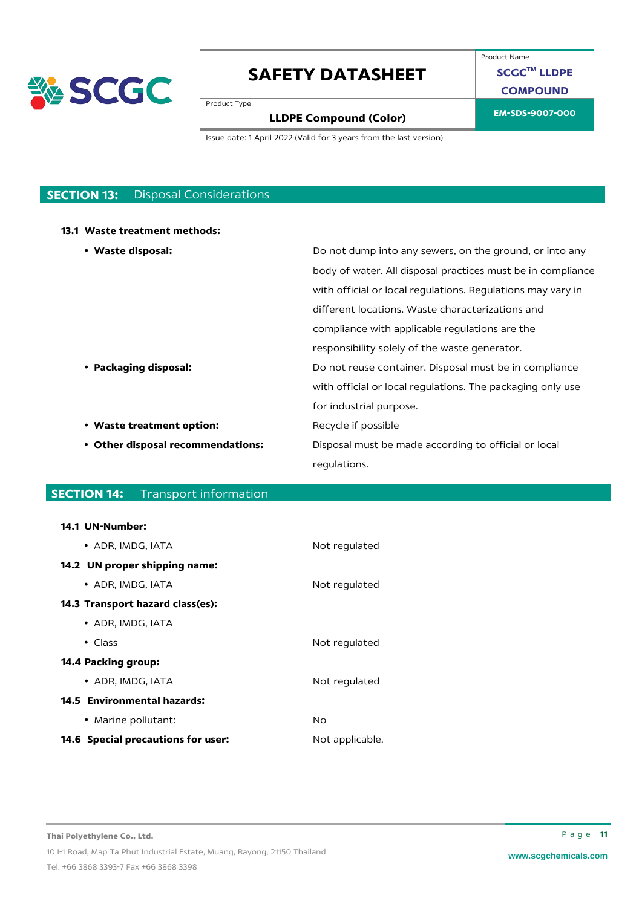

Product Name

**SCGCTM LLDPE**

**COMPOUND**

Product Type

# **EM-SDS-9007-000 LLDPE Compound (Color)**

Issue date: 1 April 2022 (Valid for 3 years from the last version)

### **SECTION 13:** Disposal Considerations

#### **13.1 Waste treatment methods:**

| • Waste disposal:                 | Do not dump into any sewers, on the ground, or into any     |
|-----------------------------------|-------------------------------------------------------------|
|                                   | body of water. All disposal practices must be in compliance |
|                                   | with official or local regulations. Regulations may vary in |
|                                   | different locations. Waste characterizations and            |
|                                   | compliance with applicable regulations are the              |
|                                   | responsibility solely of the waste generator.               |
| • Packaging disposal:             | Do not reuse container. Disposal must be in compliance      |
|                                   | with official or local regulations. The packaging only use  |
|                                   | for industrial purpose.                                     |
| • Waste treatment option:         | Recycle if possible                                         |
| • Other disposal recommendations: | Disposal must be made according to official or local        |
|                                   | regulations.                                                |

### **SECTION 14:** Transport information

#### **14.1 UN-Number:**

| • ADR. IMDG. IATA                         | Not regulated   |
|-------------------------------------------|-----------------|
| 14.2 UN proper shipping name:             |                 |
| • ADR, IMDG, IATA                         | Not regulated   |
| 14.3 Transport hazard class(es):          |                 |
| • ADR, IMDG, IATA                         |                 |
| $\bullet$ Class                           | Not regulated   |
| 14.4 Packing group:                       |                 |
| • ADR. IMDG. IATA                         | Not regulated   |
| 14.5 Environmental hazards:               |                 |
| • Marine pollutant:                       | No              |
| <b>14.6 Special precautions for user:</b> | Not applicable. |
|                                           |                 |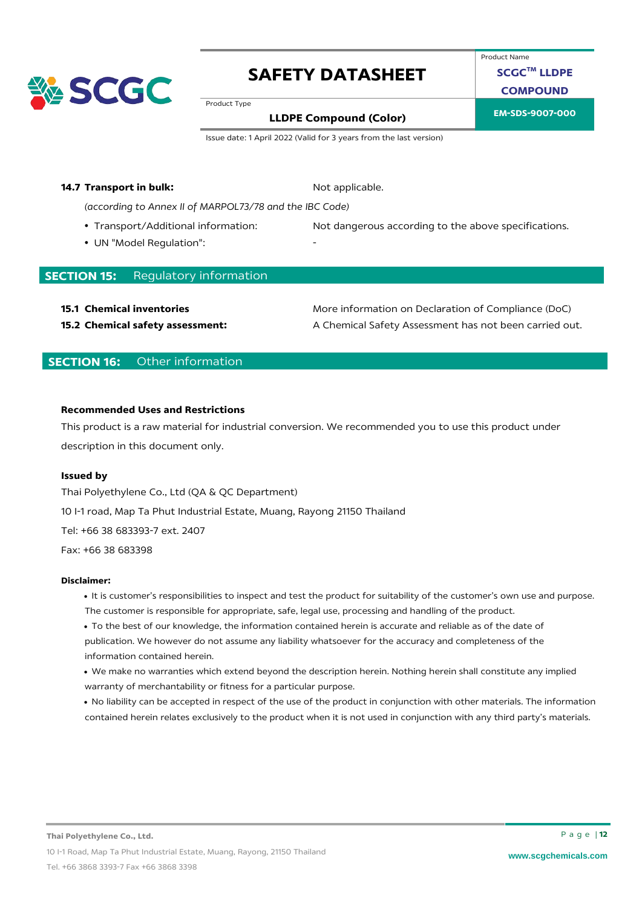

Product Name

**SCGCTM LLDPE**

**COMPOUND**

Product Type

# **EM-SDS-9007-000 LLDPE Compound (Color)**

Issue date: 1 April 2022 (Valid for 3 years from the last version)

#### **14.7 Transport in bulk:** Not applicable.

*(according to Annex II of MARPOL73/78 and the IBC Code)*

- 
- UN "Model Regulation":

• Transport/Additional information: Not dangerous according to the above specifications.

#### **SECTION 15:** Regulatory information

**15.1 Chemical inventories 15.1 Chemical inventories** More information on Declaration of Compliance (DoC) **15.2 Chemical safety assessment:** A Chemical Safety Assessment has not been carried out.

### **SECTION 16:** Other information

#### **Recommended Uses and Restrictions**

This product is a raw material for industrial conversion. We recommended you to use this product under description in this document only.

#### **Issued by**

Thai Polyethylene Co., Ltd (QA & QC Department) 10 I-1 road, Map Ta Phut Industrial Estate, Muang, Rayong 21150 Thailand Tel: +66 38 683393-7 ext. 2407 Fax: +66 38 683398

#### **Disclaimer:**

- It is customer's responsibilities to inspect and test the product for suitability of the customer's own use and purpose. The customer is responsible for appropriate, safe, legal use, processing and handling of the product.
- To the best of our knowledge, the information contained herein is accurate and reliable as of the date of publication. We however do not assume any liability whatsoever for the accuracy and completeness of the information contained herein.
- We make no warranties which extend beyond the description herein. Nothing herein shall constitute any implied warranty of merchantability or fitness for a particular purpose.
- No liability can be accepted in respect of the use of the product in conjunction with other materials. The information contained herein relates exclusively to the product when it is not used in conjunction with any third party's materials.